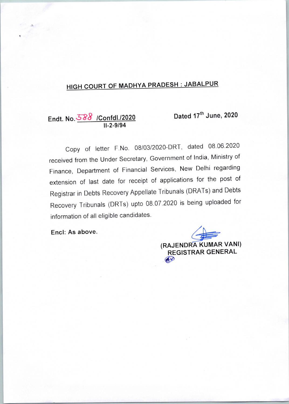# HIGH COURT OF MADHYA PRADESH : JABALPUR

Endt. No. 588 /Confdl./2020 11-2-9/94

Dated 17<sup>th</sup> June, 2020

Copy of letter F.No. 08/03/2020-DRT, dated 08.06.2020 received from the Under Secretary, Government of India, Ministry of Finance, Department of Financial Services, New Delhi regarding extension of last date for receipt of applications for the post of Registrar in Debts Recovery Appellate Tribunals (DRATs) and Debts Recovery Tribunals (DRTs) upto 08.07.2020 is being uploaded for information of all eligible candidates.

Encl: As above.

(RAJENDRA KUMAR VANI) REGISTRAR GENERAL  $60$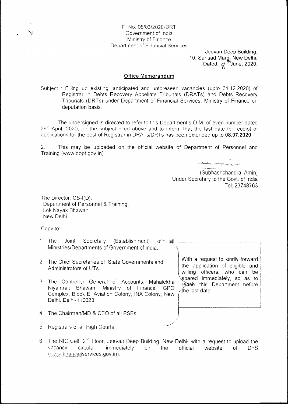## F. No. 08/03/2020-DRT Government of India Ministry of Finance Department of Financial Services

Jeevan Deep Building. 10, Sansad Marg, New Delhi,<br>Dated,  $\not\!\!\!\!\nabla^{\mathcal F}$ June, 2020.

#### **Office Memorandum**

Subject: Filling up existing, anticipated and unforeseen vacancies (upto 31.12.2020) of Registrar in Debts Recovery Appellate Tribunals (DRATs) and Debts Recovery Tribunals (DRTs) under Department of Financial Services. Ministry of Finance on deputation basis.

The undersigned is directed to refer to this Department's O.M. of even number dated 29<sup>th</sup> April. 2020, on the subject cited above and to inform that the last date for receipt of applications for the post of Registrar in DRATs/DRTs has been extended up to 08.07.2020

 $2.$ This may be uploaded on the official website of Department of Personnel and Training (www.dopt.gov.in).

(Subhashchandra Amin) Under Secretary to the Govt. of India Tel: 23748763

The Director. CS-I(D). Department of Personnel & Training. Lok Nayak Bhawan. New Delhi.

Copy to:

- $1.$  The Joint Secretary (Establishment)  $of$   $\sim$  all  $\sim$ Ministries/Departments of Government of India.
- 2 The Chief Secretaries of State Governments and Administrators of UTs.
- 3. The Controller General of Accounts, Mahalekha Niyantrak Bhawan, Ministry of Finance, GPO Complex, Block E, Aviation Colony, INA Colony, New Delhi, Delhi-110023
- 4. The Chairman/MD & CEO of all PSBs.
- 5. Registrars of all High Courts.
- 6. The NIC Cell, 2<sup>nd</sup> Floor, Jeevan Deep Building, New Delhi- with a request to upload the vacancy circular immediately  $on$ the official website  $of$ **DFS** (www.financialservices.gov.in).

With a request to kindly forward the application of eligible and willing officers, who can be spared immediately, so as to reach this Department before  $\forall$ the last date.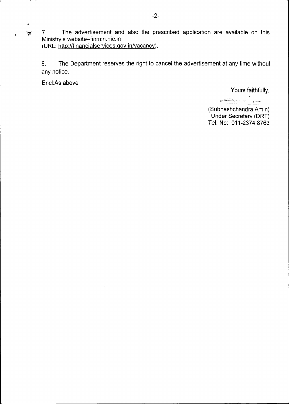$\overline{\bullet}$  7. The advertisement and also the prescribed application are available on this Ministry's website~finmin.nic.in (URL: http://financialservices.gov.in/vacancy).

8. The Department reserves the right to cancel the advertisement at any time without any notice.

Encl:As above

S

Yours faithfully,

equalitationally gravitation indicates and gravitation

(Subhashchandra Amin) Under Secretary (DRT) Tel. No: 011-2374 8763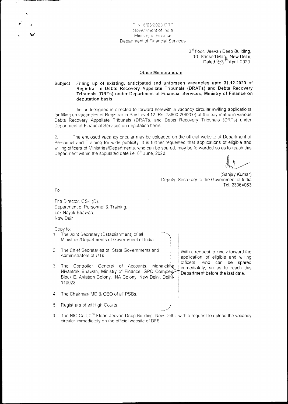#### F N 8/03/2020-DRT Government of India Ministry of Finance **Department of Financial Services**

3<sup>rd</sup> floor, Jeevan Deep Building, 10. Sansad Marg, New Delhi,<br>Dated 2.9<sup>-16</sup>April, 2020.

#### **Office Memorandum**

#### Filling up of existing, anticipated and unforseen vacancies upto 31.12.2020 of Subject: Registrar in Debts Recovery Appellate Tribunals (DRATs) and Debts Recovery Tribunals (DRTs) under Department of Financial Services, Ministry of Finance on deputation basis.

The undersigned is directed to forward herewith a vacancy circular inviting applications for filling up vacancies of Registrar in Pay Level 12 (Rs. 78800-209200) of the pay matrix in various Debts Recovery Appellate Tribunals (DRATs) and Debts Recovery Tribunals (DRTs) under Department of Financial Services on deputation basis.

The enclosed vacancy circular may be uploaded on the official website of Department of  $2^{\circ}$ Personnel and Training for wide publicity. It is further requested that applications of eligible and willing officers of Ministries/Departments, who can be spared, may be forwarded so as to reach this Department within the stipulated date i.e. 8<sup>th</sup> June, 2020.

(Sanjay Kumar) Deputy Secretary to the Government of India Tel. 23364063

T<sub>o</sub>

The Director, CS-I (D). Department of Personnel & Training, Lok Navak Bhawan. New Delhi.

Copy to:

- The Joint Secretary (Establishment) of all  $1<sup>1</sup>$ Ministries/Departments of Government of India.
- The Chief Secretaries of State Governments and  $\overline{2}$ Administrators of UTs.
- $3<sup>1</sup>$ The Controller General of Accounts, Mahalekha Niyantrak Bhawan, Ministry of Finance, GPO Complex, Block E. Aviation Colony, INA Colony, New Delhi, Delhi-110023
- 4. The Chairman/MD & CEO of all PSBs
- $5<sub>1</sub>$ Registrars of all High Courts.
- 6. The NIC Cell, 2<sup>nd</sup> Floor. Jeevan Deep Building, New Delhi- with a request to upload the vacancy circular immediately on the official website of DFS

With a request to kindly forward the application of eligible and willing officers, who can be spared immediately, so as to reach this Department before the last date.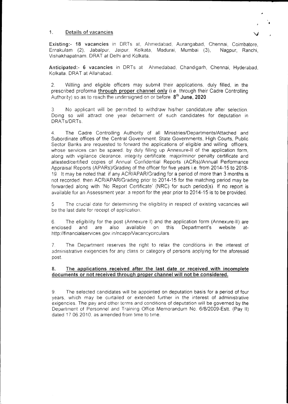#### 1. Details of vacancies

Existing:- 18 vacancies in DRTs at, Ahmedabad, Aurangabad, Chennai, Coimbatore. Ernakulam (2), Jabalpur, Jaipur, Kolkata, Madurai, Mumbai (3), Nagpur, Ranchi, Vishakhapatnam, DRAT at Delhi and Kolkata.

Anticipated:- 6 vacancies in DRTs at Ahmedabad, Chandigarh, Chennai, Hyderabad, Kolkata. DRAT at Allahabad.

2. Willing and eligible officers may submit their applications, duly filled, in the prescribed proforma through proper channel only (i.e. through their Cadre Controlling Authority) so as to reach the undersigned on or before  $8<sup>th</sup>$  June, 2020.

3 No applicant will be permitted to withdraw his/her candidature after selection. Doing so will attract one year debarment of such candidates for deputation in DRATs/DRTs.

4. The Cadre Controlling Authority of all Ministries/Departments/Attached and Subordinate offices of the Central Government, State Governments; High Courts, Public Sector Banks are requested to forward the applications of eligible and willing officers, whose services can be spared, by duly filling up Annexure-II of the application form, along with vigilance clearance, integrity certificate, major/minor penalty certificate and attested/certifiecl copies of Annual Confidential Reports (ACRs)/Annual Performance Appraisal Reports (APARs)/Grading of the officer for five years i.e. from 2014-15 to 2018- 19 lt may be noted that if any ACR/APAR/Grading for a period of more than 3 months is not recorded, then ACR/APAR/Grading prior to 2014-15 for the matching period may be forwarded along with 'No Report Certificate' (NRC) for such period(s). If no report is available tor an Assessment year a report for the year prior to 2014-15 is to be provided.

5 The crucial date for determining the eligibility in respect of existing vacancies will be the last date for receipt of application.

6 The eligibility for the post (Annexure I) and the application form (Annexure-lI) are enclosed and are also available on this Department's website athttp://financialservices.gov.in/ncapp/Vacancycirculars

7. The Department reserves the right to relax the conditions in the interest of administrative exigencies for any class or category of persons applying for the aforesaid post,

### 8. The applications received after the last date or received with incomplete documents or not received through proper channel will not be considered.

9 The selected candidates will be appointed on deputation basis for a period off our years, which may be curtailed or extended further in the interest of administrative exigencies. The pay and other terms and conditions of deputation will be governed by the Department of Personnel and Training Office Memorandum No. 6/8/2009-Estt. (Pay II) dated 17.06.2010, as amended from time to time.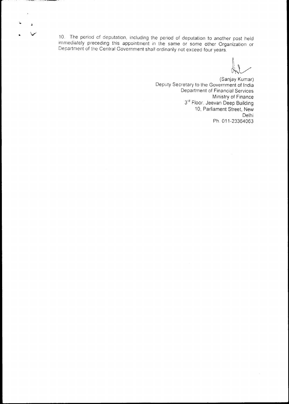10. The period of deputation, including the period of deputation to another post held immediately preceding this appointment in the same or some other Organization or Department of the Central Government shall ordinarily not exceed four years.

**ALCOHOL** 

 $\pmb{\mathfrak{z}}$ 

(Sanjay Kumar) Deputy Secretary to the Government of India Department of Financial Services Ministry of Finance 3<sup>rd</sup> Floor, Jeevan Deep Building 10, Parliament Street, New Delhi Ph. 011-23364063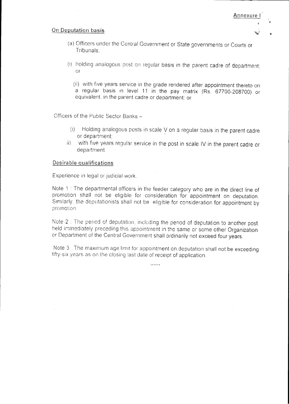## On Deputation basis

- Annexure
- (a) Officers under the Central Government or State governments or Courts or Tribunals:
- (i) holding analogous post on regular basis in the parent cadre of department; **or**

(ii) with five years service in the grade rendered after appointment thereto on a regular basis in level 11 in the pay matrix (Rs. 67700-208700) or equivalent, in the parent cadre or department; or

Officers of the Public Sector Banks -

- (i) Holding analogous posts in scale V on a regular basis in the parent cadre or department:
- with five years regular service in the post in scale IV in the parent cadre or  $\ddot{\mathbf{H}}$ department.

## Desirable qualifications

Experience in legal or judicial work.

Note 1: The departmental officers in the feeder category who are in the direct line of promotion shall not be eligible for consideration for appointment on deputation. Similarly, the deputationists shall not be eligible for consideration for appointment by promotion.

Note 2 : The period of deputation, including the period of deputation to another post held immediately preceding this appointment in the same or some other Organization or Department of the Central Government shall ordinarily not exceed four years.

Note 3. The maximum age limit for appointment on deputation shall not be exceeding fifty-six years as on the closing last date of receipt of application.

. . . . . .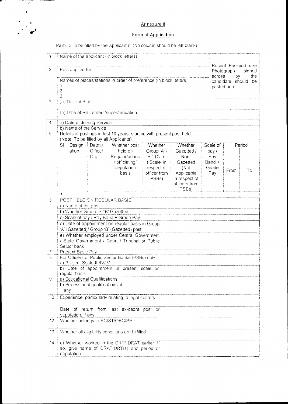# Annexure II

# Form of Application

Part-I: (To be filled by the Applicant): (No column should be left blank)

منتقل المنتقلة المناسبة  $\mathcal{L}_{\text{max}}$ 

| 1.               |                                                                                                                  |                                    | Name of the applicant (in block letters)                                                   |                            |                             |          |                                       |                      |  |  |
|------------------|------------------------------------------------------------------------------------------------------------------|------------------------------------|--------------------------------------------------------------------------------------------|----------------------------|-----------------------------|----------|---------------------------------------|----------------------|--|--|
|                  |                                                                                                                  |                                    |                                                                                            |                            |                             |          |                                       | Recent Passport size |  |  |
| $\overline{2}$ . | Post applied for<br>Photograph                                                                                   |                                    |                                                                                            |                            |                             |          | signed                                |                      |  |  |
|                  |                                                                                                                  |                                    |                                                                                            |                            |                             |          | the<br>across<br>bγ                   |                      |  |  |
|                  | Names of places/stations in order of preference (in block letters):<br>1.                                        |                                    |                                                                                            |                            |                             |          | candidate should<br>be<br>pasted here |                      |  |  |
|                  | 2.                                                                                                               |                                    |                                                                                            |                            |                             |          |                                       |                      |  |  |
|                  | 3.                                                                                                               |                                    |                                                                                            |                            |                             |          |                                       |                      |  |  |
| 3                | (a) Date of Birth                                                                                                |                                    |                                                                                            |                            |                             |          |                                       |                      |  |  |
|                  | (b) Date of Retirement/superannuation                                                                            |                                    |                                                                                            |                            |                             |          |                                       |                      |  |  |
|                  |                                                                                                                  |                                    |                                                                                            |                            |                             |          |                                       |                      |  |  |
| $\mathbf{4}$ .   | a) Date of Joining Service                                                                                       |                                    |                                                                                            |                            |                             |          |                                       |                      |  |  |
|                  | b) Name of the Service                                                                                           |                                    |                                                                                            |                            |                             |          |                                       |                      |  |  |
| 5.               | Details of postings in last 10 years, starting with present post held:<br>(Note: To be filled by all Applicants) |                                    |                                                                                            |                            |                             |          |                                       |                      |  |  |
|                  | SI Design                                                                                                        |                                    | Deptt./ Whether post                                                                       | Whether                    | Whether                     | Scale of |                                       | Period               |  |  |
|                  | ation                                                                                                            | Office/                            | held on                                                                                    | Group A /                  | Gazetted /                  | pay/     |                                       |                      |  |  |
|                  |                                                                                                                  | Org                                | Regular/adhoc                                                                              | 'B'/ 'C'/ or<br>$\sim$ 1   | Non-                        | Pay      |                                       |                      |  |  |
|                  |                                                                                                                  |                                    | / officiating/                                                                             | ('Scale' in                | Gazetted                    | Band +   |                                       |                      |  |  |
|                  |                                                                                                                  |                                    | deputation                                                                                 | respect of<br>officer from | (Not                        | Grade    | From                                  | To                   |  |  |
|                  |                                                                                                                  |                                    | basis                                                                                      | PSBs)                      | Applicable<br>in respect of | Pay      |                                       |                      |  |  |
|                  |                                                                                                                  |                                    |                                                                                            |                            | officers from               |          |                                       |                      |  |  |
|                  |                                                                                                                  |                                    |                                                                                            |                            | PSBs)                       |          |                                       |                      |  |  |
|                  |                                                                                                                  |                                    |                                                                                            |                            |                             |          |                                       |                      |  |  |
| $\hat{\circ}$    |                                                                                                                  |                                    | POST HELD ON REGULAR BASIS                                                                 |                            |                             |          |                                       |                      |  |  |
|                  | a) Name of the post                                                                                              |                                    |                                                                                            |                            |                             |          |                                       |                      |  |  |
|                  |                                                                                                                  | b) Whether Group 'A'/'B' Gazetted  |                                                                                            |                            |                             |          |                                       |                      |  |  |
|                  |                                                                                                                  |                                    | c) Scale of pay / Pay Band + Grade Pay<br>d) Date of appointment on regular basis in Group |                            |                             |          |                                       |                      |  |  |
|                  |                                                                                                                  |                                    | 'A' (Gazetted)/ Group 'B' (Gazetted) post                                                  |                            |                             |          |                                       |                      |  |  |
|                  |                                                                                                                  |                                    | e) Whether employed under Central Government                                               |                            |                             |          |                                       |                      |  |  |
|                  |                                                                                                                  |                                    | / State Government / Court / Tribunal or Public                                            |                            |                             |          |                                       |                      |  |  |
|                  | Sector bank                                                                                                      |                                    |                                                                                            |                            |                             |          |                                       |                      |  |  |
| $\overline{I}$   | Present Basic Pay                                                                                                |                                    |                                                                                            |                            |                             |          |                                       |                      |  |  |
| 8                |                                                                                                                  |                                    | For Officers of Public Sector Banks (PSBs) only                                            |                            |                             |          |                                       |                      |  |  |
|                  |                                                                                                                  | a) Present Scale-III/IV/V          |                                                                                            |                            |                             |          |                                       |                      |  |  |
|                  | b) Date of appointment in present scale on<br>regular basis                                                      |                                    |                                                                                            |                            |                             |          |                                       |                      |  |  |
| $\overline{9}$ . |                                                                                                                  | a) Educational Qualifications      |                                                                                            |                            |                             |          |                                       |                      |  |  |
|                  |                                                                                                                  | b) Professional qualifications. if |                                                                                            |                            |                             |          |                                       |                      |  |  |
|                  | any                                                                                                              |                                    |                                                                                            |                            |                             |          |                                       |                      |  |  |
| 10               |                                                                                                                  |                                    | Experience, particularly relating to legal matters                                         |                            |                             |          |                                       |                      |  |  |
| 11               | Date of return from last ex-cadre post or<br>deputation, if any                                                  |                                    |                                                                                            |                            |                             |          |                                       |                      |  |  |
| 12 <sub>2</sub>  |                                                                                                                  |                                    | Whether belongs to SC/ST/OBC/PH                                                            |                            |                             |          |                                       |                      |  |  |
|                  |                                                                                                                  |                                    |                                                                                            |                            |                             |          |                                       |                      |  |  |
| 13 <sup>°</sup>  | Whether all eligibility conditions are fulfilled                                                                 |                                    |                                                                                            |                            |                             |          |                                       |                      |  |  |
| $14 -$           | La) Whether worked in the DRT/ DRAT earlier. If                                                                  |                                    |                                                                                            |                            |                             |          |                                       |                      |  |  |
|                  | so, give name of DRAT/DRT(s) and period of                                                                       |                                    |                                                                                            |                            |                             |          |                                       |                      |  |  |
|                  | deputation                                                                                                       |                                    |                                                                                            |                            |                             |          |                                       |                      |  |  |